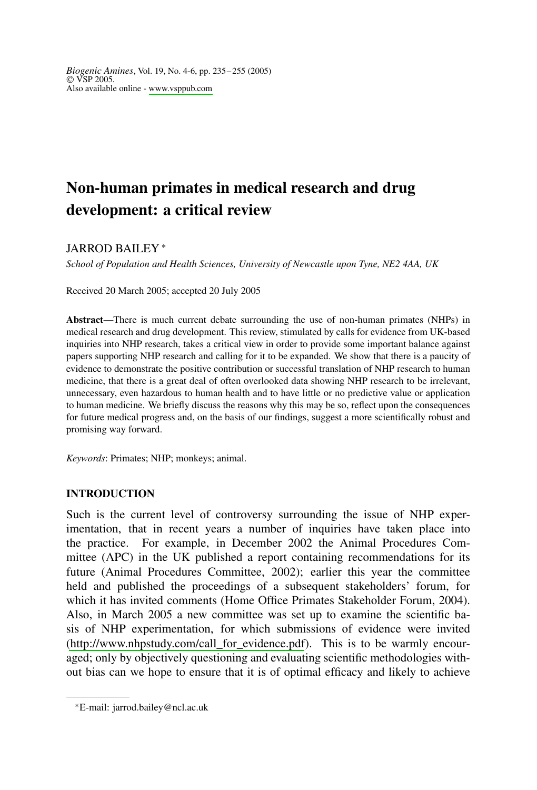# Non-human primates in medical research and drug development: a critical review

# **JARROD BAILEY\***

School of Population and Health Sciences, University of Newcastle upon Tyne, NE2 4AA, UK

Received 20 March 2005; accepted 20 July 2005

**Abstract—There** is much current debate surrounding the use of non-human primates (NHPs) in medical research and drug development. This review, stimulated by calls for evidence from UK-based inquiries into NHP research, takes a critical view in order to provide some important balance against papers supporting NHP research and calling for it to be expanded. We show that there is a paucity of evidence to demonstrate the positive contribution or successful translation of NHP research to human medicine, that there is a great deal of often overlooked data showing NHP research to be irrelevant, unnecessary, even hazardous to human health and to have little or no predictive value or application to human medicine. We briefly discuss the reasons why this may be so, reflect upon the consequences for future medical progress and, on the basis of our findings, suggest a more scientifically robust and promising way forward.

Keywords: Primates; NHP; monkeys; animal.

# **INTRODUCTION**

Such is the current level of controversy surrounding the issue of NHP experimentation, that in recent years a number of inquiries have taken place into the practice. For example, in December 2002 the Animal Procedures Committee (APC) in the UK published a report containing recommendations for its future (Animal Procedures Committee, 2002); earlier this year the committee held and published the proceedings of a subsequent stakeholders' forum, for which it has invited comments (Home Office Primates Stakeholder Forum, 2004). Also, in March 2005 a new committee was set up to examine the scientific basis of NHP experimentation, for which submissions of evidence were invited (http://www.nhpstudy.com/call\_for\_evidence.pdf). This is to be warmly encouraged; only by objectively questioning and evaluating scientific methodologies without bias can we hope to ensure that it is of optimal efficacy and likely to achieve

<sup>\*</sup>E-mail: jarrod.bailey@ncl.ac.uk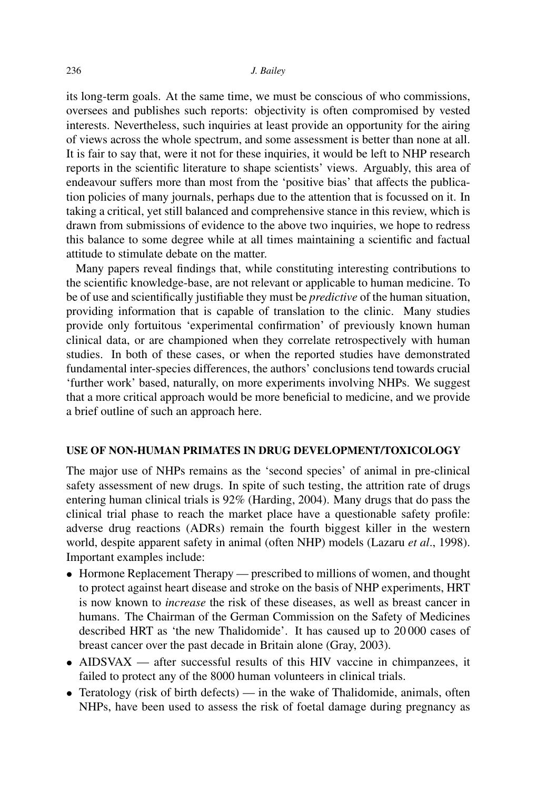its long-term goals. At the same time, we must be conscious of who commissions, oversees and publishes such reports: objectivity is often compromised by vested interests. Nevertheless, such inquiries at least provide an opportunity for the airing of views across the whole spectrum, and some assessment is better than none at all. It is fair to say that, were it not for these inquiries, it would be left to NHP research reports in the scientific literature to shape scientists' views. Arguably, this area of endeavour suffers more than most from the 'positive bias' that affects the publication policies of many journals, perhaps due to the attention that is focussed on it. In taking a critical, yet still balanced and comprehensive stance in this review, which is drawn from submissions of evidence to the above two inquiries, we hope to redress this balance to some degree while at all times maintaining a scientific and factual attitude to stimulate debate on the matter

Many papers reveal findings that, while constituting interesting contributions to the scientific knowledge-base, are not relevant or applicable to human medicine. To be of use and scientifically justifiable they must be *predictive* of the human situation, providing information that is capable of translation to the clinic. Many studies provide only fortuitous 'experimental confirmation' of previously known human clinical data, or are championed when they correlate retrospectively with human studies. In both of these cases, or when the reported studies have demonstrated fundamental inter-species differences, the authors' conclusions tend towards crucial 'further work' based, naturally, on more experiments involving NHPs. We suggest that a more critical approach would be more beneficial to medicine, and we provide a brief outline of such an approach here.

# USE OF NON-HUMAN PRIMATES IN DRUG DEVELOPMENT/TOXICOLOGY

The major use of NHPs remains as the 'second species' of animal in pre-clinical safety assessment of new drugs. In spite of such testing, the attrition rate of drugs entering human clinical trials is 92% (Harding, 2004). Many drugs that do pass the clinical trial phase to reach the market place have a questionable safety profile: adverse drug reactions (ADRs) remain the fourth biggest killer in the western world, despite apparent safety in animal (often NHP) models (Lazaru et al., 1998). Important examples include:

- Hormone Replacement Therapy prescribed to millions of women, and thought to protect against heart disease and stroke on the basis of NHP experiments, HRT is now known to *increase* the risk of these diseases, as well as breast cancer in humans. The Chairman of the German Commission on the Safety of Medicines described HRT as 'the new Thalidomide'. It has caused up to 20000 cases of breast cancer over the past decade in Britain alone (Gray, 2003).
- AIDSVAX after successful results of this HIV vaccine in chimpanzees, it failed to protect any of the 8000 human volunteers in clinical trials.
- $\bullet$  Teratology (risk of birth defects) in the wake of Thalidomide, animals, often NHPs, have been used to assess the risk of foetal damage during pregnancy as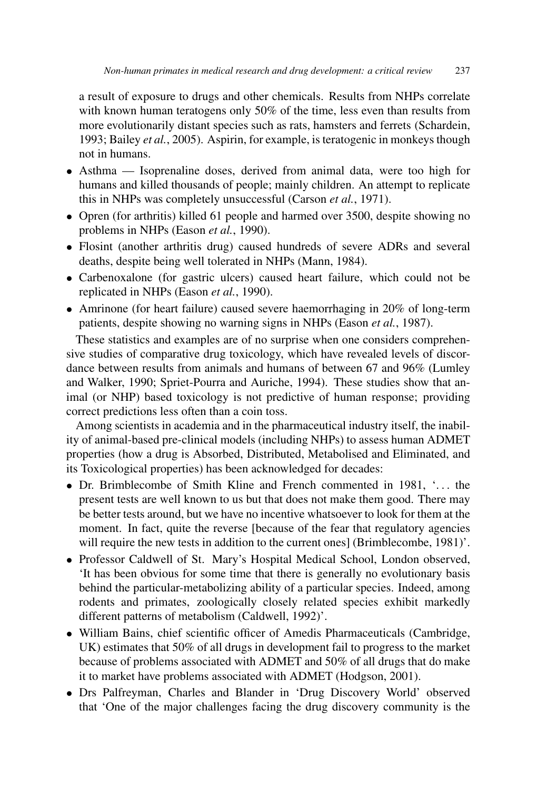a result of exposure to drugs and other chemicals. Results from NHPs correlate with known human teratogens only 50% of the time, less even than results from more evolutionarily distant species such as rats, hamsters and ferrets (Schardein, 1993; Bailey et al., 2005). Aspirin, for example, is teratogenic in monkeys though not in humans.

- Asthma Isoprenaline doses, derived from animal data, were too high for humans and killed thousands of people; mainly children. An attempt to replicate this in NHPs was completely unsuccessful (Carson et al., 1971).
- Opren (for arthritis) killed 61 people and harmed over 3500, despite showing no problems in NHPs (Eason et al., 1990).
- Flosint (another arthritis drug) caused hundreds of severe ADRs and several deaths, despite being well tolerated in NHPs (Mann, 1984).
- Carbenoxalone (for gastric ulcers) caused heart failure, which could not be replicated in NHPs (Eason et al., 1990).
- Amrinone (for heart failure) caused severe haemorrhaging in  $20\%$  of long-term patients, despite showing no warning signs in NHPs (Eason et al., 1987).

These statistics and examples are of no surprise when one considers comprehensive studies of comparative drug toxicology, which have revealed levels of discordance between results from animals and humans of between 67 and 96% (Lumley and Walker, 1990; Spriet-Pourra and Auriche, 1994). These studies show that animal (or NHP) based toxicology is not predictive of human response; providing correct predictions less often than a coin toss.

Among scientists in academia and in the pharmaceutical industry itself, the inability of animal-based pre-clinical models (including NHPs) to assess human ADMET properties (how a drug is Absorbed, Distributed, Metabolised and Eliminated, and its Toxicological properties) has been acknowledged for decades:

- Dr. Brimblecombe of Smith Kline and French commented in 1981,  $\ldots$  the present tests are well known to us but that does not make them good. There may be better tests around, but we have no incentive whatsoever to look for them at the moment. In fact, quite the reverse [because of the fear that regulatory agencies will require the new tests in addition to the current ones] (Brimblecombe, 1981)'.
- Professor Caldwell of St. Mary's Hospital Medical School, London observed, It has been obvious for some time that there is generally no evolutionary basis behind the particular-metabolizing ability of a particular species. Indeed, among rodents and primates, zoologically closely related species exhibit markedly different patterns of metabolism (Caldwell, 1992)'.
- William Bains, chief scientific officer of Amedis Pharmaceuticals (Cambridge, UK) estimates that 50% of all drugs in development fail to progress to the market because of problems associated with ADMET and 50% of all drugs that do make it to market have problems associated with ADMET (Hodgson, 2001).
- Drs Palfreyman, Charles and Blander in 'Drug Discovery World' observed that 'One of the major challenges facing the drug discovery community is the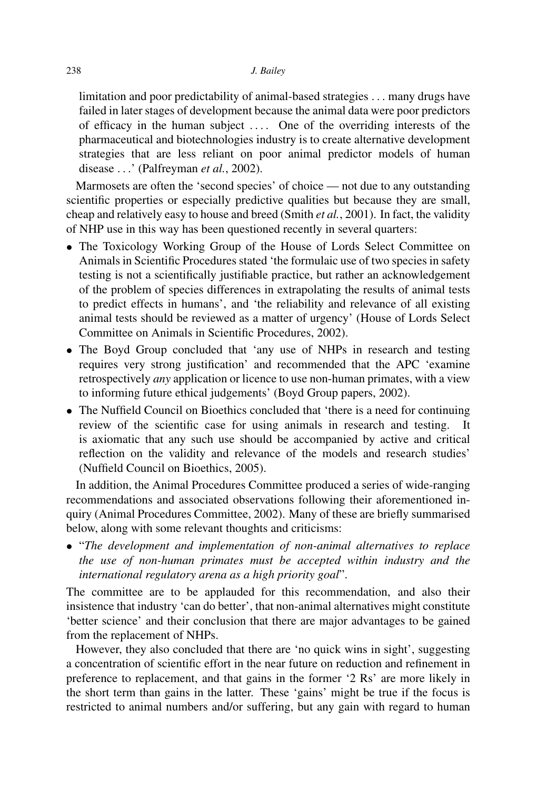limitation and poor predictability of animal-based strategies . . . many drugs have failed in later stages of development because the animal data were poor predictors of efficacy in the human subject .... One of the overriding interests of the pharmaceutical and biotechnologies industry is to create alternative development strategies that are less reliant on poor animal predictor models of human disease ...' (Palfreyman et al., 2002).

Marmosets are often the 'second species' of choice — not due to any outstanding scientific properties or especially predictive qualities but because they are small, cheap and relatively easy to house and breed (Smith et al., 2001). In fact, the validity of NHP use in this way has been questioned recently in several quarters:

- The Toxicology Working Group of the House of Lords Select Committee on Animals in Scientific Procedures stated 'the formulaic use of two species in safety testing is not a scientifically justifiable practice, but rather an acknowledgement of the problem of species differences in extrapolating the results of animal tests to predict effects in humans', and 'the reliability and relevance of all existing animal tests should be reviewed as a matter of urgency' (House of Lords Select Committee on Animals in Scientific Procedures, 2002).
- The Boyd Group concluded that 'any use of NHPs in research and testing requires very strong justification' and recommended that the APC 'examine retrospectively *any* application or licence to use non-human primates, with a view to informing future ethical judgements' (Boyd Group papers, 2002).
- The Nuffield Council on Bioethics concluded that 'there is a need for continuing review of the scientific case for using animals in research and testing. is axiomatic that any such use should be accompanied by active and critical reflection on the validity and relevance of the models and research studies' (Nuffield Council on Bioethics, 2005).

In addition, the Animal Procedures Committee produced a series of wide-ranging recommendations and associated observations following their aforementioned inquiry (Animal Procedures Committee, 2002). Many of these are briefly summarised below, along with some relevant thoughts and criticisms:

• "The development and implementation of non-animal alternatives to replace the use of non-human primates must be accepted within industry and the international regulatory arena as a high priority goal".

The committee are to be applauded for this recommendation, and also their insistence that industry 'can do better', that non-animal alternatives might constitute 'better science' and their conclusion that there are major advantages to be gained from the replacement of NHPs.

However, they also concluded that there are 'no quick wins in sight', suggesting a concentration of scientific effort in the near future on reduction and refinement in preference to replacement, and that gains in the former '2 Rs' are more likely in the short term than gains in the latter. These 'gains' might be true if the focus is restricted to animal numbers and/or suffering, but any gain with regard to human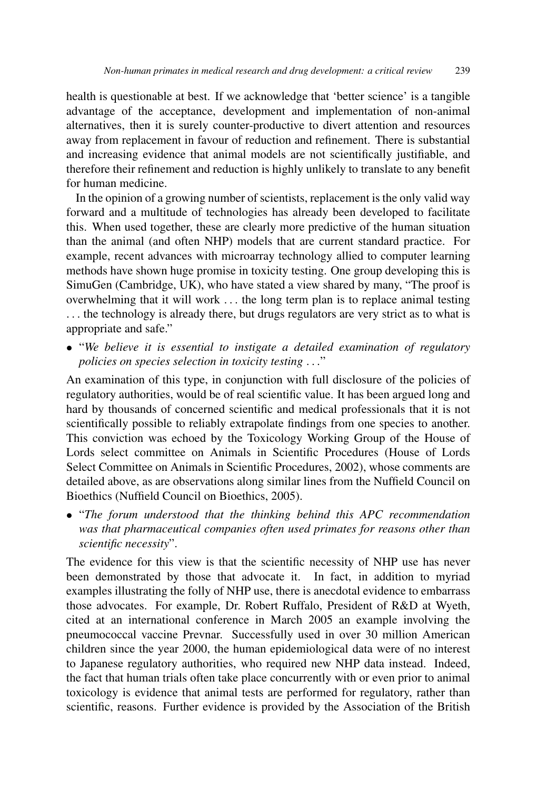health is questionable at best. If we acknowledge that 'better science' is a tangible advantage of the acceptance, development and implementation of non-animal alternatives, then it is surely counter-productive to divert attention and resources away from replacement in favour of reduction and refinement. There is substantial and increasing evidence that animal models are not scientifically justifiable, and therefore their refinement and reduction is highly unlikely to translate to any benefit for human medicine.

In the opinion of a growing number of scientists, replacement is the only valid way forward and a multitude of technologies has already been developed to facilitate this. When used together, these are clearly more predictive of the human situation than the animal (and often NHP) models that are current standard practice. For example, recent advances with microarray technology allied to computer learning methods have shown huge promise in toxicity testing. One group developing this is SimuGen (Cambridge, UK), who have stated a view shared by many, "The proof is overwhelming that it will work ... the long term plan is to replace animal testing ... the technology is already there, but drugs regulators are very strict as to what is appropriate and safe."

• "We believe it is essential to instigate a detailed examination of regulatory policies on species selection in toxicity testing ..."

An examination of this type, in conjunction with full disclosure of the policies of regulatory authorities, would be of real scientific value. It has been argued long and hard by thousands of concerned scientific and medical professionals that it is not scientifically possible to reliably extrapolate findings from one species to another. This conviction was echoed by the Toxicology Working Group of the House of Lords select committee on Animals in Scientific Procedures (House of Lords Select Committee on Animals in Scientific Procedures, 2002), whose comments are detailed above, as are observations along similar lines from the Nuffield Council on Bioethics (Nuffield Council on Bioethics, 2005).

• "The forum understood that the thinking behind this APC recommendation was that pharmaceutical companies often used primates for reasons other than scientific necessity".

The evidence for this view is that the scientific necessity of NHP use has never been demonstrated by those that advocate it. In fact, in addition to myriad examples illustrating the folly of NHP use, there is anecdotal evidence to embarrass those advocates. For example, Dr. Robert Ruffalo, President of R&D at Wyeth, cited at an international conference in March 2005 an example involving the pneumococcal vaccine Prevnar. Successfully used in over 30 million American children since the year 2000, the human epidemiological data were of no interest to Japanese regulatory authorities, who required new NHP data instead. Indeed, the fact that human trials often take place concurrently with or even prior to animal toxicology is evidence that animal tests are performed for regulatory, rather than scientific, reasons. Further evidence is provided by the Association of the British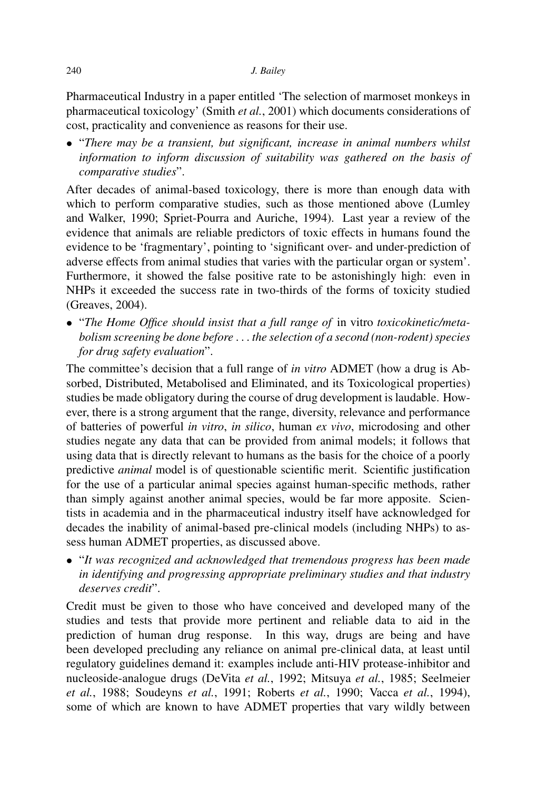Pharmaceutical Industry in a paper entitled 'The selection of marmoset monkeys in pharmaceutical toxicology' (Smith et al., 2001) which documents considerations of cost, practicality and convenience as reasons for their use.

• "There may be a transient, but significant, increase in animal numbers whilst information to inform discussion of suitability was gathered on the basis of comparative studies".

After decades of animal-based toxicology, there is more than enough data with which to perform comparative studies, such as those mentioned above (Lumley and Walker, 1990; Spriet-Pourra and Auriche, 1994). Last year a review of the evidence that animals are reliable predictors of toxic effects in humans found the evidence to be 'fragmentary', pointing to 'significant over- and under-prediction of adverse effects from animal studies that varies with the particular organ or system'. Furthermore, it showed the false positive rate to be astonishingly high: even in NHPs it exceeded the success rate in two-thirds of the forms of toxicity studied (Greaves, 2004).

• "The Home Office should insist that a full range of in vitro toxicokinetic/metabolism screening be done before ... the selection of a second (non-rodent) species for drug safety evaluation".

The committee's decision that a full range of *in vitro* ADMET (how a drug is Absorbed, Distributed, Metabolised and Eliminated, and its Toxicological properties) studies be made obligatory during the course of drug development is laudable. However, there is a strong argument that the range, diversity, relevance and performance of batteries of powerful in vitro, in silico, human ex vivo, microdosing and other studies negate any data that can be provided from animal models; it follows that using data that is directly relevant to humans as the basis for the choice of a poorly predictive *animal* model is of questionable scientific merit. Scientific justification for the use of a particular animal species against human-specific methods, rather than simply against another animal species, would be far more apposite. Scientists in academia and in the pharmaceutical industry itself have acknowledged for decades the inability of animal-based pre-clinical models (including NHPs) to assess human ADMET properties, as discussed above.

• "It was recognized and acknowledged that tremendous progress has been made in identifying and progressing appropriate preliminary studies and that industry deserves credit".

Credit must be given to those who have conceived and developed many of the studies and tests that provide more pertinent and reliable data to aid in the prediction of human drug response. In this way, drugs are being and have been developed precluding any reliance on animal pre-clinical data, at least until regulatory guidelines demand it: examples include anti-HIV protease-inhibitor and nucleoside-analogue drugs (DeVita et al., 1992; Mitsuya et al., 1985; Seelmeier et al., 1988; Soudeyns et al., 1991; Roberts et al., 1990; Vacca et al., 1994), some of which are known to have ADMET properties that vary wildly between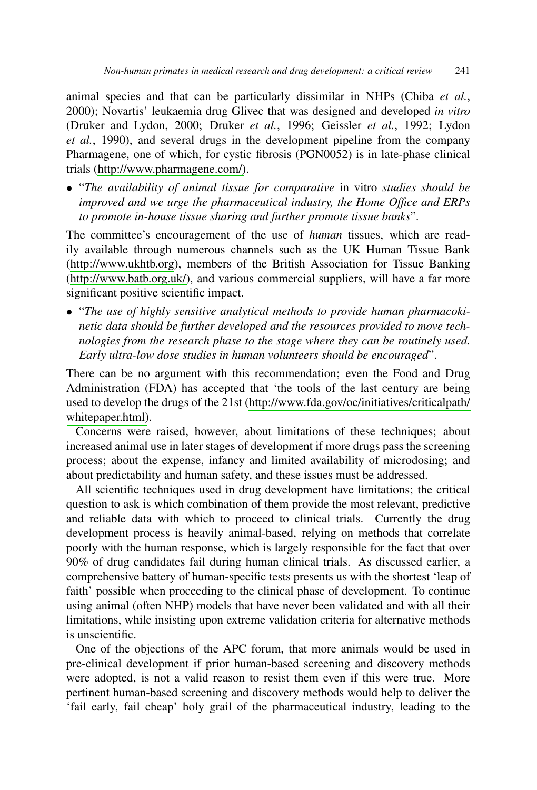animal species and that can be particularly dissimilar in NHPs (Chiba et al., 2000); Novartis' leukaemia drug Glivec that was designed and developed in vitro (Druker and Lydon, 2000; Druker et al., 1996; Geissler et al., 1992; Lydon et al., 1990), and several drugs in the development pipeline from the company Pharmagene, one of which, for cystic fibrosis (PGN0052) is in late-phase clinical trials (http://www.pharmagene.com/).

• "The availability of animal tissue for comparative in vitro studies should be improved and we urge the pharmaceutical industry, the Home Office and ERPs to promote in-house tissue sharing and further promote tissue banks".

The committee's encouragement of the use of human tissues, which are readily available through numerous channels such as the UK Human Tissue Bank (http://www.ukhtb.org), members of the British Association for Tissue Banking (http://www.batb.org.uk/), and various commercial suppliers, will have a far more significant positive scientific impact.

• "The use of highly sensitive analytical methods to provide human pharmacokinetic data should be further developed and the resources provided to move technologies from the research phase to the stage where they can be routinely used. Early ultra-low dose studies in human volunteers should be encouraged".

There can be no argument with this recommendation; even the Food and Drug Administration (FDA) has accepted that 'the tools of the last century are being used to develop the drugs of the 21st (http://www.fda.gov/oc/initiatives/criticalpath/ whitepaper.html).

Concerns were raised, however, about limitations of these techniques; about increased animal use in later stages of development if more drugs pass the screening process; about the expense, infancy and limited availability of microdosing; and about predictability and human safety, and these issues must be addressed.

All scientific techniques used in drug development have limitations; the critical question to ask is which combination of them provide the most relevant, predictive and reliable data with which to proceed to clinical trials. Currently the drug development process is heavily animal-based, relying on methods that correlate poorly with the human response, which is largely responsible for the fact that over 90% of drug candidates fail during human clinical trials. As discussed earlier, a comprehensive battery of human-specific tests presents us with the shortest 'leap of faith' possible when proceeding to the clinical phase of development. To continue using animal (often NHP) models that have never been validated and with all their limitations, while insisting upon extreme validation criteria for alternative methods is unscientific.

One of the objections of the APC forum, that more animals would be used in pre-clinical development if prior human-based screening and discovery methods were adopted, is not a valid reason to resist them even if this were true. More pertinent human-based screening and discovery methods would help to deliver the 'fail early, fail cheap' holy grail of the pharmaceutical industry, leading to the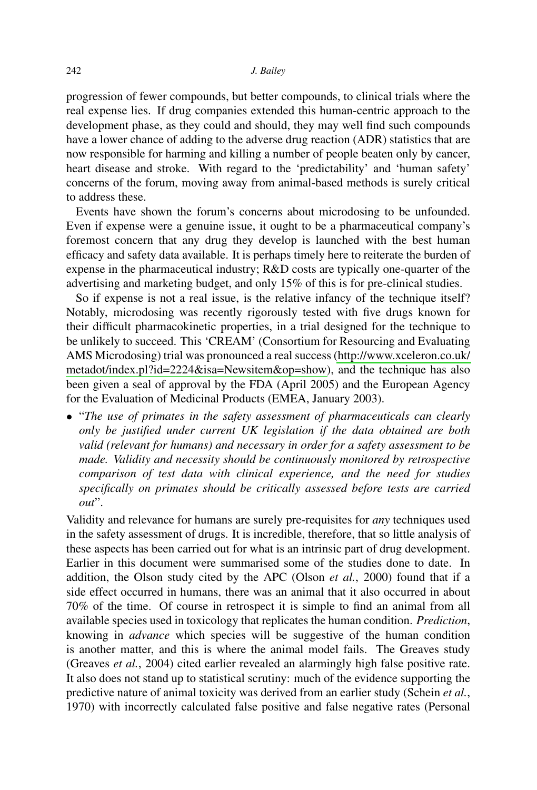progression of fewer compounds, but better compounds, to clinical trials where the real expense lies. If drug companies extended this human-centric approach to the development phase, as they could and should, they may well find such compounds have a lower chance of adding to the adverse drug reaction (ADR) statistics that are now responsible for harming and killing a number of people beaten only by cancer, heart disease and stroke. With regard to the 'predictability' and 'human safety' concerns of the forum, moving away from animal-based methods is surely critical to address these

Events have shown the forum's concerns about microdosing to be unfounded. Even if expense were a genuine issue, it ought to be a pharmaceutical company's foremost concern that any drug they develop is launched with the best human efficacy and safety data available. It is perhaps timely here to reiterate the burden of expense in the pharmaceutical industry; R&D costs are typically one-quarter of the advertising and marketing budget, and only 15% of this is for pre-clinical studies.

So if expense is not a real issue, is the relative infancy of the technique itself? Notably, microdosing was recently rigorously tested with five drugs known for their difficult pharmacokinetic properties, in a trial designed for the technique to be unlikely to succeed. This 'CREAM' (Consortium for Resourcing and Evaluating AMS Microdosing) trial was pronounced a real success (http://www.xceleron.co.uk/ metadot/index.pl?id=2224&isa=Newsitem&op=show), and the technique has also been given a seal of approval by the FDA (April 2005) and the European Agency for the Evaluation of Medicinal Products (EMEA, January 2003).

• "The use of primates in the safety assessment of pharmaceuticals can clearly only be justified under current UK legislation if the data obtained are both valid (relevant for humans) and necessary in order for a safety assessment to be made. Validity and necessity should be continuously monitored by retrospective comparison of test data with clinical experience, and the need for studies specifically on primates should be critically assessed before tests are carried  $out$ ".

Validity and relevance for humans are surely pre-requisites for any techniques used in the safety assessment of drugs. It is incredible, therefore, that so little analysis of these aspects has been carried out for what is an intrinsic part of drug development. Earlier in this document were summarised some of the studies done to date. In addition, the Olson study cited by the APC (Olson et al., 2000) found that if a side effect occurred in humans, there was an animal that it also occurred in about 70% of the time. Of course in retrospect it is simple to find an animal from all available species used in toxicology that replicates the human condition. Prediction, knowing in *advance* which species will be suggestive of the human condition is another matter, and this is where the animal model fails. The Greaves study (Greaves et al., 2004) cited earlier revealed an alarmingly high false positive rate. It also does not stand up to statistical scrutiny: much of the evidence supporting the predictive nature of animal toxicity was derived from an earlier study (Schein et al., 1970) with incorrectly calculated false positive and false negative rates (Personal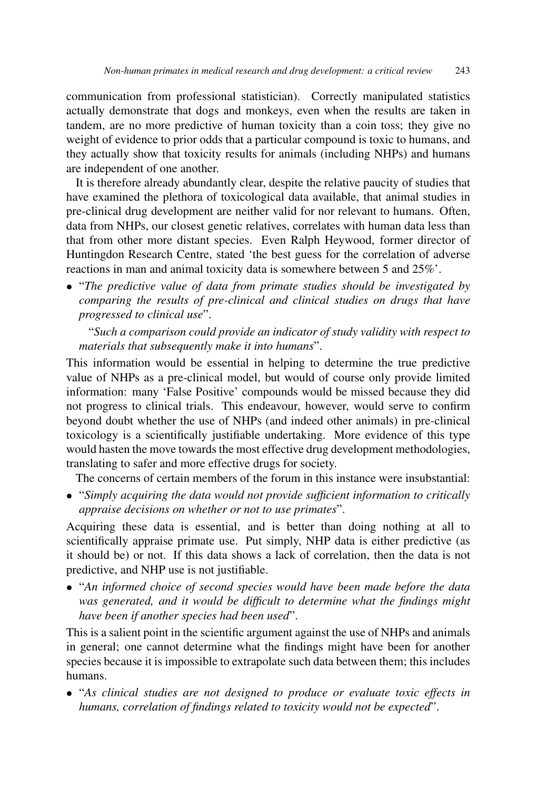communication from professional statistician). Correctly manipulated statistics actually demonstrate that dogs and monkeys, even when the results are taken in tandem, are no more predictive of human toxicity than a coin toss; they give no weight of evidence to prior odds that a particular compound is toxic to humans, and they actually show that toxicity results for animals (including NHPs) and humans are independent of one another.

It is therefore already abundantly clear, despite the relative paucity of studies that have examined the plethora of toxicological data available, that animal studies in pre-clinical drug development are neither valid for nor relevant to humans. Often, data from NHPs, our closest genetic relatives, correlates with human data less than that from other more distant species. Even Ralph Heywood, former director of Huntingdon Research Centre, stated 'the best guess for the correlation of adverse reactions in man and animal toxicity data is somewhere between 5 and 25%'.

• "The predictive value of data from primate studies should be investigated by comparing the results of pre-clinical and clinical studies on drugs that have progressed to clinical use".

"Such a comparison could provide an indicator of study validity with respect to materials that subsequently make it into humans".

This information would be essential in helping to determine the true predictive value of NHPs as a pre-clinical model, but would of course only provide limited information: many 'False Positive' compounds would be missed because they did not progress to clinical trials. This endeavour, however, would serve to confirm beyond doubt whether the use of NHPs (and indeed other animals) in pre-clinical toxicology is a scientifically justifiable undertaking. More evidence of this type would hasten the move towards the most effective drug development methodologies, translating to safer and more effective drugs for society.

The concerns of certain members of the forum in this instance were insubstantial:

• "Simply acquiring the data would not provide sufficient information to critically appraise decisions on whether or not to use primates".

Acquiring these data is essential, and is better than doing nothing at all to scientifically appraise primate use. Put simply, NHP data is either predictive (as it should be) or not. If this data shows a lack of correlation, then the data is not predictive, and NHP use is not justifiable.

• "An informed choice of second species would have been made before the data was generated, and it would be difficult to determine what the findings might have been if another species had been used".

This is a salient point in the scientific argument against the use of NHPs and animals in general; one cannot determine what the findings might have been for another species because it is impossible to extrapolate such data between them; this includes humans.

• "As clinical studies are not designed to produce or evaluate toxic effects in humans, correlation of findings related to toxicity would not be expected".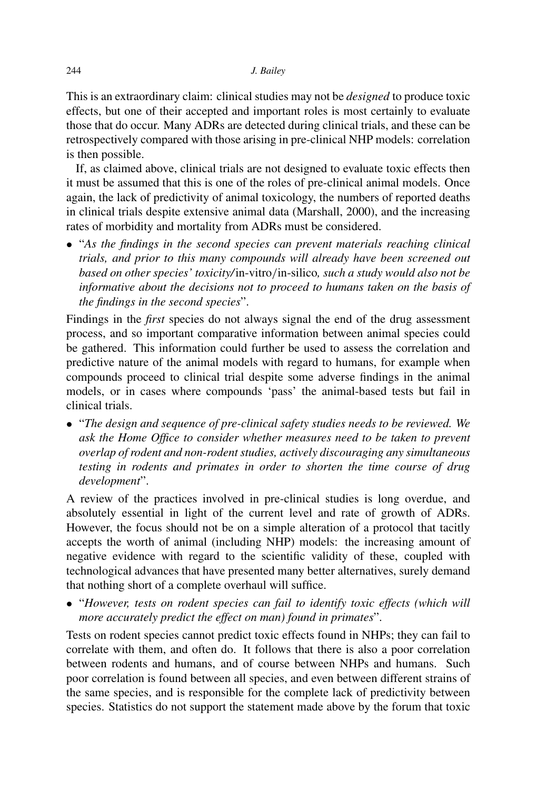This is an extraordinary claim: clinical studies may not be *designed* to produce toxic effects, but one of their accepted and important roles is most certainly to evaluate those that do occur. Many ADRs are detected during clinical trials, and these can be retrospectively compared with those arising in pre-clinical NHP models: correlation is then possible.

If, as claimed above, clinical trials are not designed to evaluate toxic effects then it must be assumed that this is one of the roles of pre-clinical animal models. Once again, the lack of predictivity of animal toxicology, the numbers of reported deaths in clinical trials despite extensive animal data (Marshall, 2000), and the increasing rates of morbidity and mortality from ADRs must be considered.

• "As the findings in the second species can prevent materials reaching clinical trials, and prior to this many compounds will already have been screened out based on other species' toxicity/in-vitro/in-silico, such a study would also not be informative about the decisions not to proceed to humans taken on the basis of the findings in the second species".

Findings in the *first* species do not always signal the end of the drug assessment process, and so important comparative information between animal species could be gathered. This information could further be used to assess the correlation and predictive nature of the animal models with regard to humans, for example when compounds proceed to clinical trial despite some adverse findings in the animal models, or in cases where compounds 'pass' the animal-based tests but fail in clinical trials.

• "The design and sequence of pre-clinical safety studies needs to be reviewed. We ask the Home Office to consider whether measures need to be taken to prevent overlap of rodent and non-rodent studies, actively discouraging any simultaneous testing in rodents and primates in order to shorten the time course of drug development".

A review of the practices involved in pre-clinical studies is long overdue, and absolutely essential in light of the current level and rate of growth of ADRs. However, the focus should not be on a simple alteration of a protocol that tacitly accepts the worth of animal (including NHP) models: the increasing amount of negative evidence with regard to the scientific validity of these, coupled with technological advances that have presented many better alternatives, surely demand that nothing short of a complete overhaul will suffice.

• "However, tests on rodent species can fail to identify toxic effects (which will more accurately predict the effect on man) found in primates".

Tests on rodent species cannot predict toxic effects found in NHPs; they can fail to correlate with them, and often do. It follows that there is also a poor correlation between rodents and humans, and of course between NHPs and humans. Such poor correlation is found between all species, and even between different strains of the same species, and is responsible for the complete lack of predictivity between species. Statistics do not support the statement made above by the forum that toxic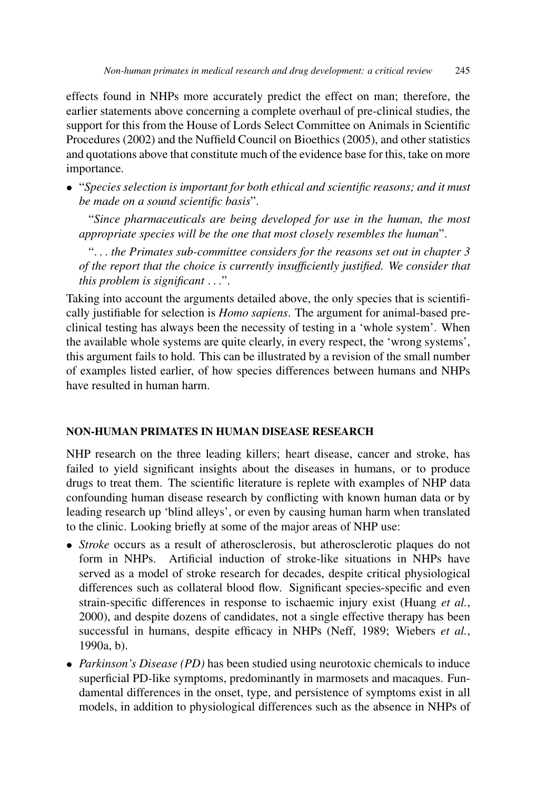effects found in NHPs more accurately predict the effect on man; therefore, the earlier statements above concerning a complete overhaul of pre-clinical studies, the support for this from the House of Lords Select Committee on Animals in Scientific Procedures (2002) and the Nuffield Council on Bioethics (2005), and other statistics and quotations above that constitute much of the evidence base for this, take on more importance.

• "Species selection is important for both ethical and scientific reasons; and it must be made on a sound scientific basis".

"Since pharmaceuticals are being developed for use in the human, the most appropriate species will be the one that most closely resembles the human".

"... the Primates sub-committee considers for the reasons set out in chapter 3 of the report that the choice is currently insufficiently justified. We consider that this problem is significant  $\dots$ ".

Taking into account the arguments detailed above, the only species that is scientifically justifiable for selection is *Homo sapiens*. The argument for animal-based preclinical testing has always been the necessity of testing in a 'whole system'. When the available whole systems are quite clearly, in every respect, the 'wrong systems', this argument fails to hold. This can be illustrated by a revision of the small number of examples listed earlier, of how species differences between humans and NHPs have resulted in human harm.

# **NON-HUMAN PRIMATES IN HUMAN DISEASE RESEARCH**

NHP research on the three leading killers; heart disease, cancer and stroke, has failed to yield significant insights about the diseases in humans, or to produce drugs to treat them. The scientific literature is replete with examples of NHP data confounding human disease research by conflicting with known human data or by leading research up 'blind alleys', or even by causing human harm when translated to the clinic. Looking briefly at some of the major areas of NHP use:

- Stroke occurs as a result of atherosclerosis, but atherosclerotic plaques do not form in NHPs. Artificial induction of stroke-like situations in NHPs have served as a model of stroke research for decades, despite critical physiological differences such as collateral blood flow. Significant species-specific and even strain-specific differences in response to ischaemic injury exist (Huang et al., 2000), and despite dozens of candidates, not a single effective therapy has been successful in humans, despite efficacy in NHPs (Neff, 1989; Wiebers et al., 1990a, b).
- Parkinson's Disease (PD) has been studied using neurotoxic chemicals to induce superficial PD-like symptoms, predominantly in marmosets and macaques. Fundamental differences in the onset, type, and persistence of symptoms exist in all models, in addition to physiological differences such as the absence in NHPs of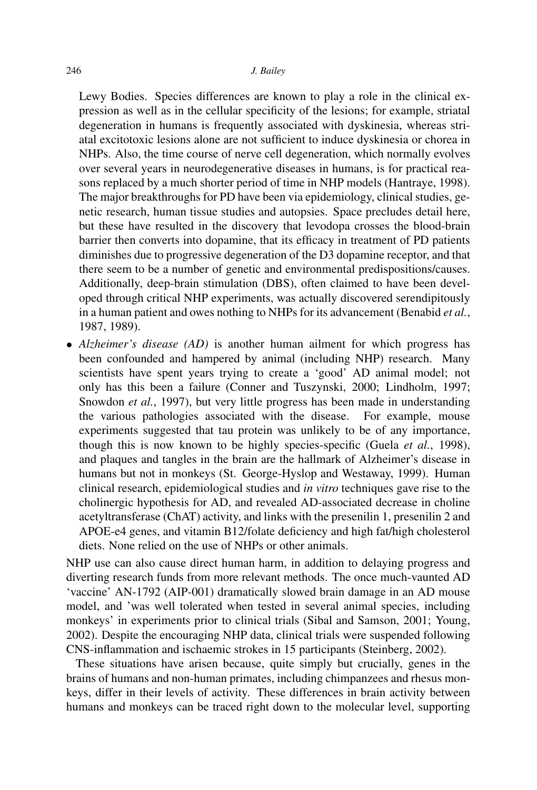Lewy Bodies. Species differences are known to play a role in the clinical expression as well as in the cellular specificity of the lesions; for example, striatal degeneration in humans is frequently associated with dyskinesia, whereas striatal excitotoxic lesions alone are not sufficient to induce dyskinesia or chorea in NHPs. Also, the time course of nerve cell degeneration, which normally evolves over several years in neurodegenerative diseases in humans, is for practical reasons replaced by a much shorter period of time in NHP models (Hantraye, 1998). The major breakthroughs for PD have been via epidemiology, clinical studies, genetic research, human tissue studies and autopsies. Space precludes detail here, but these have resulted in the discovery that levodopa crosses the blood-brain barrier then converts into dopamine, that its efficacy in treatment of PD patients diminishes due to progressive degeneration of the D3 dopamine receptor, and that there seem to be a number of genetic and environmental predispositions/causes. Additionally, deep-brain stimulation (DBS), often claimed to have been developed through critical NHP experiments, was actually discovered serendipitously in a human patient and owes nothing to NHPs for its advancement (Benabid et al., 1987, 1989).

• Alzheimer's disease  $(AD)$  is another human ailment for which progress has been confounded and hampered by animal (including NHP) research. Many scientists have spent years trying to create a 'good' AD animal model; not only has this been a failure (Conner and Tuszynski, 2000; Lindholm, 1997; Snowdon et al., 1997), but very little progress has been made in understanding the various pathologies associated with the disease. For example, mouse experiments suggested that tau protein was unlikely to be of any importance, though this is now known to be highly species-specific (Guela et al., 1998), and plaques and tangles in the brain are the hallmark of Alzheimer's disease in humans but not in monkeys (St. George-Hyslop and Westaway, 1999). Human clinical research, epidemiological studies and in vitro techniques gave rise to the cholinergic hypothesis for AD, and revealed AD-associated decrease in choline acetyltransferase (ChAT) activity, and links with the presenilin 1, presenilin 2 and APOE-e4 genes, and vitamin B12/folate deficiency and high fat/high cholesterol diets. None relied on the use of NHPs or other animals.

NHP use can also cause direct human harm, in addition to delaying progress and diverting research funds from more relevant methods. The once much-vaunted AD 'vaccine' AN-1792 (AIP-001) dramatically slowed brain damage in an AD mouse model, and 'was well tolerated when tested in several animal species, including monkeys' in experiments prior to clinical trials (Sibal and Samson, 2001; Young, 2002). Despite the encouraging NHP data, clinical trials were suspended following CNS-inflammation and ischaemic strokes in 15 participants (Steinberg, 2002).

These situations have arisen because, quite simply but crucially, genes in the brains of humans and non-human primates, including chimpanzees and rhesus monkeys, differ in their levels of activity. These differences in brain activity between humans and monkeys can be traced right down to the molecular level, supporting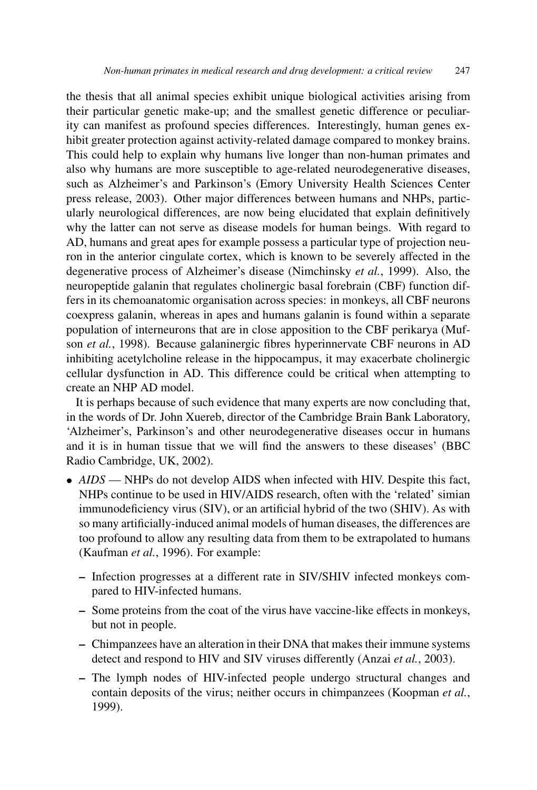the thesis that all animal species exhibit unique biological activities arising from their particular genetic make-up; and the smallest genetic difference or peculiarity can manifest as profound species differences. Interestingly, human genes exhibit greater protection against activity-related damage compared to monkey brains. This could help to explain why humans live longer than non-human primates and also why humans are more susceptible to age-related neurodegenerative diseases, such as Alzheimer's and Parkinson's (Emory University Health Sciences Center press release, 2003). Other major differences between humans and NHPs, particularly neurological differences, are now being elucidated that explain definitively why the latter can not serve as disease models for human beings. With regard to AD, humans and great apes for example possess a particular type of projection neuron in the anterior cingulate cortex, which is known to be severely affected in the degenerative process of Alzheimer's disease (Nimchinsky et al., 1999). Also, the neuropeptide galanin that regulates cholinergic basal forebrain (CBF) function differs in its chemoanatomic organisation across species: in monkeys, all CBF neurons coexpress galanin, whereas in apes and humans galanin is found within a separate population of interneurons that are in close apposition to the CBF perikarya (Mufson et al., 1998). Because galaninergic fibres hyperinnervate CBF neurons in AD inhibiting acetylcholine release in the hippocampus, it may exacerbate cholinergic cellular dysfunction in AD. This difference could be critical when attempting to create an NHP AD model.

It is perhaps because of such evidence that many experts are now concluding that, in the words of Dr. John Xuereb, director of the Cambridge Brain Bank Laboratory, 'Alzheimer's, Parkinson's and other neurodegenerative diseases occur in humans and it is in human tissue that we will find the answers to these diseases' (BBC Radio Cambridge, UK, 2002).

- $\bullet$  AIDS NHPs do not develop AIDS when infected with HIV. Despite this fact, NHPs continue to be used in HIV/AIDS research, often with the 'related' simian immunodeficiency virus (SIV), or an artificial hybrid of the two (SHIV). As with so many artificially-induced animal models of human diseases, the differences are too profound to allow any resulting data from them to be extrapolated to humans (Kaufman et al., 1996). For example:
	- Infection progresses at a different rate in SIV/SHIV infected monkeys compared to HIV-infected humans.
	- Some proteins from the coat of the virus have vaccine-like effects in monkeys, but not in people.
	- Chimpanzees have an alteration in their DNA that makes their immune systems detect and respond to HIV and SIV viruses differently (Anzai et al., 2003).
	- The lymph nodes of HIV-infected people undergo structural changes and contain deposits of the virus; neither occurs in chimpanzees (Koopman et al., 1999).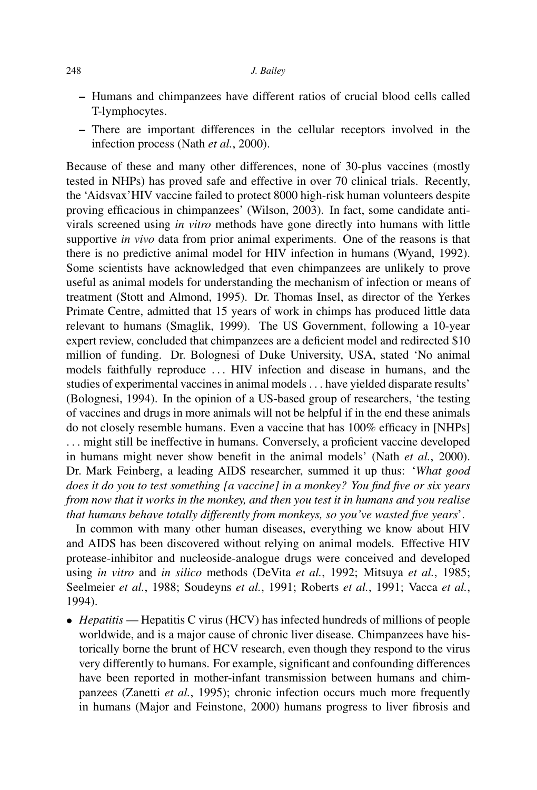- Humans and chimpanzees have different ratios of crucial blood cells called T-lymphocytes.
- There are important differences in the cellular receptors involved in the infection process (Nath et al., 2000).

Because of these and many other differences, none of 30-plus vaccines (mostly tested in NHPs) has proved safe and effective in over 70 clinical trials. Recently, the 'Aidsvax' HIV vaccine failed to protect 8000 high-risk human volunteers despite proving efficacious in chimpanzees' (Wilson, 2003). In fact, some candidate antivirals screened using *in vitro* methods have gone directly into humans with little supportive in vivo data from prior animal experiments. One of the reasons is that there is no predictive animal model for HIV infection in humans (Wyand, 1992). Some scientists have acknowledged that even chimpanzees are unlikely to prove useful as animal models for understanding the mechanism of infection or means of treatment (Stott and Almond, 1995). Dr. Thomas Insel, as director of the Yerkes Primate Centre, admitted that 15 years of work in chimps has produced little data relevant to humans (Smaglik, 1999). The US Government, following a 10-year expert review, concluded that chimpanzees are a deficient model and redirected \$10 million of funding. Dr. Bolognesi of Duke University, USA, stated 'No animal models faithfully reproduce ... HIV infection and disease in humans, and the studies of experimental vaccines in animal models . . . have yielded disparate results' (Bolognesi, 1994). In the opinion of a US-based group of researchers, 'the testing of vaccines and drugs in more animals will not be helpful if in the end these animals do not closely resemble humans. Even a vaccine that has 100% efficacy in [NHPs] ... might still be ineffective in humans. Conversely, a proficient vaccine developed in humans might never show benefit in the animal models' (Nath et al., 2000). Dr. Mark Feinberg, a leading AIDS researcher, summed it up thus: 'What good does it do you to test something [a vaccine] in a monkey? You find five or six years from now that it works in the monkey, and then you test it in humans and you realise that humans behave totally differently from monkeys, so you've wasted five years'.

In common with many other human diseases, everything we know about HIV and AIDS has been discovered without relying on animal models. Effective HIV protease-inhibitor and nucleoside-analogue drugs were conceived and developed using in vitro and in silico methods (DeVita et al., 1992; Mitsuya et al., 1985; Seelmeier et al., 1988; Soudeyns et al., 1991; Roberts et al., 1991; Vacca et al., 1994).

• Hepatitis — Hepatitis C virus (HCV) has infected hundreds of millions of people worldwide, and is a major cause of chronic liver disease. Chimpanzees have historically borne the brunt of HCV research, even though they respond to the virus very differently to humans. For example, significant and confounding differences have been reported in mother-infant transmission between humans and chimpanzees (Zanetti et al., 1995); chronic infection occurs much more frequently in humans (Major and Feinstone, 2000) humans progress to liver fibrosis and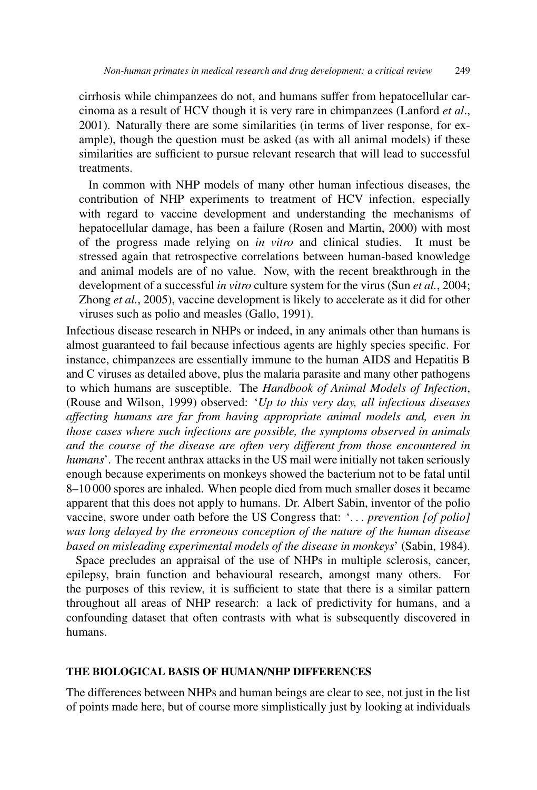cirrhosis while chimpanzees do not, and humans suffer from hepatocellular carcinoma as a result of HCV though it is very rare in chimpanzees (Lanford et al., 2001). Naturally there are some similarities (in terms of liver response, for example), though the question must be asked (as with all animal models) if these similarities are sufficient to pursue relevant research that will lead to successful treatments.

In common with NHP models of many other human infectious diseases, the contribution of NHP experiments to treatment of HCV infection, especially with regard to vaccine development and understanding the mechanisms of hepatocellular damage, has been a failure (Rosen and Martin, 2000) with most of the progress made relying on *in vitro* and clinical studies. It must be stressed again that retrospective correlations between human-based knowledge and animal models are of no value. Now, with the recent breakthrough in the development of a successful in vitro culture system for the virus (Sun et al., 2004; Zhong et al., 2005), vaccine development is likely to accelerate as it did for other viruses such as polio and measles (Gallo, 1991).

Infectious disease research in NHPs or indeed, in any animals other than humans is almost guaranteed to fail because infectious agents are highly species specific. For instance, chimpanzees are essentially immune to the human AIDS and Hepatitis B and C viruses as detailed above, plus the malaria parasite and many other pathogens to which humans are susceptible. The Handbook of Animal Models of Infection, (Rouse and Wilson, 1999) observed: 'Up to this very day, all infectious diseases affecting humans are far from having appropriate animal models and, even in those cases where such infections are possible, the symptoms observed in animals and the course of the disease are often very different from those encountered in humans'. The recent anthrax attacks in the US mail were initially not taken seriously enough because experiments on monkeys showed the bacterium not to be fatal until 8-10 000 spores are inhaled. When people died from much smaller doses it became apparent that this does not apply to humans. Dr. Albert Sabin, inventor of the polio vaccine, swore under oath before the US Congress that: '... prevention [of polio] was long delayed by the erroneous conception of the nature of the human disease based on misleading experimental models of the disease in monkeys' (Sabin, 1984).

Space precludes an appraisal of the use of NHPs in multiple sclerosis, cancer, epilepsy, brain function and behavioural research, amongst many others. For the purposes of this review, it is sufficient to state that there is a similar pattern throughout all areas of NHP research: a lack of predictivity for humans, and a confounding dataset that often contrasts with what is subsequently discovered in humans.

# THE BIOLOGICAL BASIS OF HUMAN/NHP DIFFERENCES

The differences between NHPs and human beings are clear to see, not just in the list of points made here, but of course more simplistically just by looking at individuals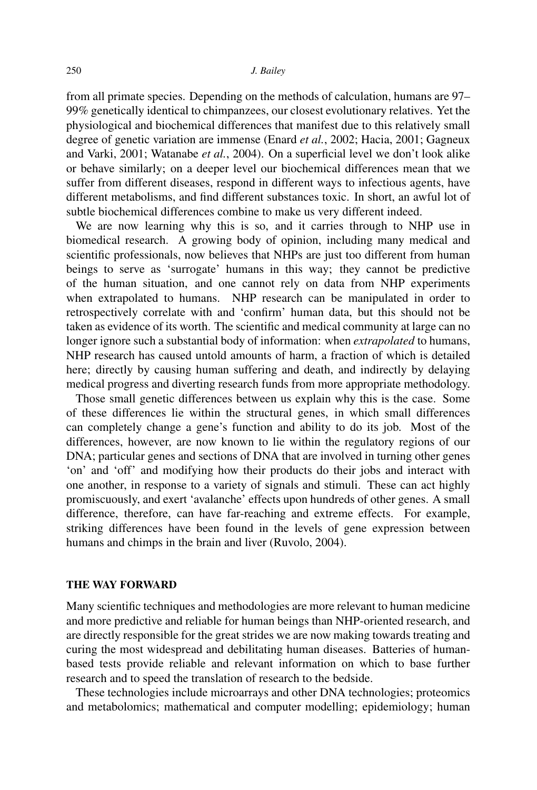from all primate species. Depending on the methods of calculation, humans are 97– 99% genetically identical to chimpanzees, our closest evolutionary relatives. Yet the physiological and biochemical differences that manifest due to this relatively small degree of genetic variation are immense (Enard et al., 2002; Hacia, 2001; Gagneux and Varki, 2001; Watanabe et al., 2004). On a superficial level we don't look alike or behave similarly; on a deeper level our biochemical differences mean that we suffer from different diseases, respond in different ways to infectious agents, have different metabolisms, and find different substances toxic. In short, an awful lot of subtle biochemical differences combine to make us very different indeed.

We are now learning why this is so, and it carries through to NHP use in biomedical research. A growing body of opinion, including many medical and scientific professionals, now believes that NHPs are just too different from human beings to serve as 'surrogate' humans in this way; they cannot be predictive of the human situation, and one cannot rely on data from NHP experiments when extrapolated to humans. NHP research can be manipulated in order to retrospectively correlate with and 'confirm' human data, but this should not be taken as evidence of its worth. The scientific and medical community at large can no longer ignore such a substantial body of information: when *extrapolated* to humans, NHP research has caused untold amounts of harm, a fraction of which is detailed here; directly by causing human suffering and death, and indirectly by delaying medical progress and diverting research funds from more appropriate methodology.

Those small genetic differences between us explain why this is the case. Some of these differences lie within the structural genes, in which small differences can completely change a gene's function and ability to do its job. Most of the differences, however, are now known to lie within the regulatory regions of our DNA; particular genes and sections of DNA that are involved in turning other genes 'on' and 'off' and modifying how their products do their jobs and interact with one another, in response to a variety of signals and stimuli. These can act highly promiscuously, and exert 'avalanche' effects upon hundreds of other genes. A small difference, therefore, can have far-reaching and extreme effects. For example, striking differences have been found in the levels of gene expression between humans and chimps in the brain and liver (Ruvolo, 2004).

#### THE WAY FORWARD

Many scientific techniques and methodologies are more relevant to human medicine and more predictive and reliable for human beings than NHP-oriented research, and are directly responsible for the great strides we are now making towards treating and curing the most widespread and debilitating human diseases. Batteries of humanbased tests provide reliable and relevant information on which to base further research and to speed the translation of research to the bedside.

These technologies include microarrays and other DNA technologies; proteomics and metabolomics; mathematical and computer modelling; epidemiology; human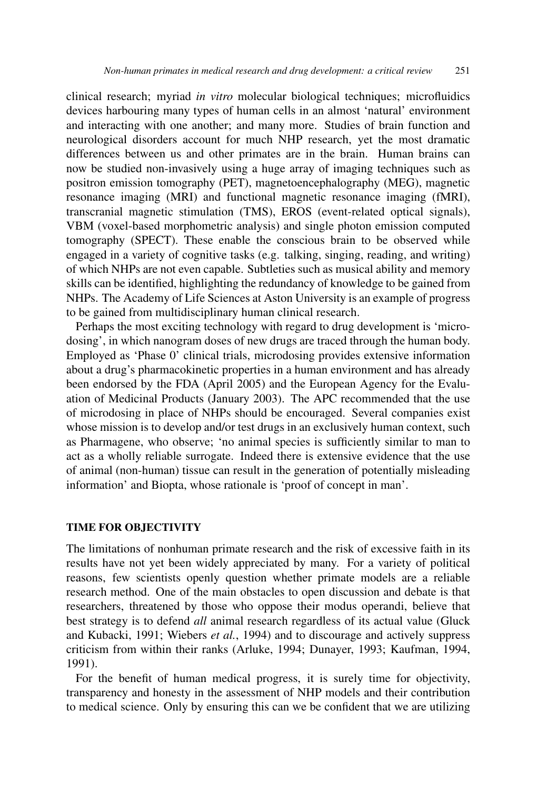clinical research; myriad in vitro molecular biological techniques; microfluidics devices harbouring many types of human cells in an almost 'natural' environment and interacting with one another; and many more. Studies of brain function and neurological disorders account for much NHP research, yet the most dramatic differences between us and other primates are in the brain. Human brains can now be studied non-invasively using a huge array of imaging techniques such as positron emission tomography (PET), magnetoencephalography (MEG), magnetic resonance imaging (MRI) and functional magnetic resonance imaging (fMRI), transcranial magnetic stimulation (TMS), EROS (event-related optical signals), VBM (voxel-based morphometric analysis) and single photon emission computed tomography (SPECT). These enable the conscious brain to be observed while engaged in a variety of cognitive tasks (e.g. talking, singing, reading, and writing) of which NHPs are not even capable. Subtleties such as musical ability and memory skills can be identified, highlighting the redundancy of knowledge to be gained from NHPs. The Academy of Life Sciences at Aston University is an example of progress to be gained from multidisciplinary human clinical research.

Perhaps the most exciting technology with regard to drug development is 'microdosing', in which nanogram doses of new drugs are traced through the human body. Employed as 'Phase 0' clinical trials, microdosing provides extensive information about a drug's pharmacokinetic properties in a human environment and has already been endorsed by the FDA (April 2005) and the European Agency for the Evaluation of Medicinal Products (January 2003). The APC recommended that the use of microdosing in place of NHPs should be encouraged. Several companies exist whose mission is to develop and/or test drugs in an exclusively human context, such as Pharmagene, who observe; 'no animal species is sufficiently similar to man to act as a wholly reliable surrogate. Indeed there is extensive evidence that the use of animal (non-human) tissue can result in the generation of potentially misleading information' and Biopta, whose rationale is 'proof of concept in man'.

## **TIME FOR OBJECTIVITY**

The limitations of nonhuman primate research and the risk of excessive faith in its results have not yet been widely appreciated by many. For a variety of political reasons, few scientists openly question whether primate models are a reliable research method. One of the main obstacles to open discussion and debate is that researchers, threatened by those who oppose their modus operandi, believe that best strategy is to defend *all* animal research regardless of its actual value (Gluck and Kubacki, 1991; Wiebers et al., 1994) and to discourage and actively suppress criticism from within their ranks (Arluke, 1994; Dunayer, 1993; Kaufman, 1994, 1991).

For the benefit of human medical progress, it is surely time for objectivity, transparency and honesty in the assessment of NHP models and their contribution to medical science. Only by ensuring this can we be confident that we are utilizing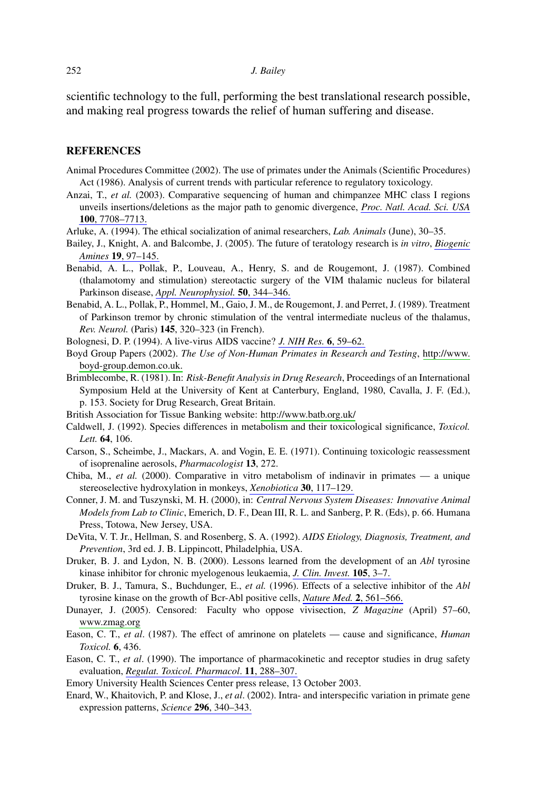scientific technology to the full, performing the best translational research possible, and making real progress towards the relief of human suffering and disease.

### **REFERENCES**

- Animal Procedures Committee (2002). The use of primates under the Animals (Scientific Procedures) Act (1986). Analysis of current trends with particular reference to regulatory toxicology.
- Anzai, T., et al. (2003). Comparative sequencing of human and chimpanzee MHC class I regions unveils insertions/deletions as the major path to genomic divergence, Proc. Natl. Acad. Sci. USA 100, 7708-7713.
- Arluke, A. (1994). The ethical socialization of animal researchers, *Lab. Animals* (June), 30–35.
- Bailey, J., Knight, A. and Balcombe, J. (2005). The future of teratology research is in vitro, Biogenic Amines 19, 97-145.
- Benabid, A. L., Pollak, P., Louveau, A., Henry, S. and de Rougemont, J. (1987). Combined (thalamotomy and stimulation) stereotactic surgery of the VIM thalamic nucleus for bilateral Parkinson disease, Appl. Neurophysiol. 50, 344-346.
- Benabid, A. L., Pollak, P., Hommel, M., Gaio, J. M., de Rougemont, J. and Perret, J. (1989). Treatment of Parkinson tremor by chronic stimulation of the ventral intermediate nucleus of the thalamus, Rev. Neurol. (Paris) 145, 320–323 (in French).

Bolognesi, D. P. (1994). A live-virus AIDS vaccine? J. NIH Res. 6, 59-62.

- Boyd Group Papers (2002). The Use of Non-Human Primates in Research and Testing, http://www. boyd-group.demon.co.uk.
- Brimblecombe, R. (1981). In: Risk-Benefit Analysis in Drug Research, Proceedings of an International Symposium Held at the University of Kent at Canterbury, England, 1980, Cavalla, J. F. (Ed.), p. 153. Society for Drug Research, Great Britain.
- British Association for Tissue Banking website: http://www.batb.org.uk/
- Caldwell, J. (1992). Species differences in metabolism and their toxicological significance, *Toxicol*. Lett. 64, 106.
- Carson, S., Scheimbe, J., Mackars, A. and Vogin, E. E. (1971). Continuing toxicologic reassessment of isoprenaline aerosols, *Pharmacologist* 13, 272.
- Chiba, M., et al. (2000). Comparative in vitro metabolism of indinavir in primates  $-$  a unique stereoselective hydroxylation in monkeys, Xenobiotica 30, 117-129.
- Conner, J. M. and Tuszynski, M. H. (2000), in: Central Nervous System Diseases: Innovative Animal *Models from Lab to Clinic*, Emerich, D. F., Dean III, R. L. and Sanberg, P. R. (Eds), p. 66. Humana Press, Totowa, New Jersey, USA.
- DeVita, V. T. Jr., Hellman, S. and Rosenberg, S. A. (1992). AIDS Etiology, Diagnosis, Treatment, and Prevention, 3rd ed. J. B. Lippincott, Philadelphia, USA.
- Druker, B. J. and Lydon, N. B. (2000). Lessons learned from the development of an Abl tyrosine kinase inhibitor for chronic myelogenous leukaemia, J. Clin. Invest. 105, 3-7.
- Druker, B. J., Tamura, S., Buchdunger, E., et al. (1996). Effects of a selective inhibitor of the Abl tyrosine kinase on the growth of Bcr-Abl positive cells, *Nature Med.* 2, 561–566.
- Dunayer, J. (2005). Censored: Faculty who oppose vivisection, Z Magazine (April) 57–60, www.zmag.org
- Eason, C. T., et al. (1987). The effect of amrinone on platelets cause and significance, *Human* Toxicol. 6, 436.
- Eason, C. T., et al. (1990). The importance of pharmacokinetic and receptor studies in drug safety evaluation, Regulat. Toxicol. Pharmacol. 11, 288-307.
- Emory University Health Sciences Center press release, 13 October 2003.
- Enard, W., Khaitovich, P. and Klose, J., et al. (2002). Intra- and interspecific variation in primate gene expression patterns, Science 296, 340-343.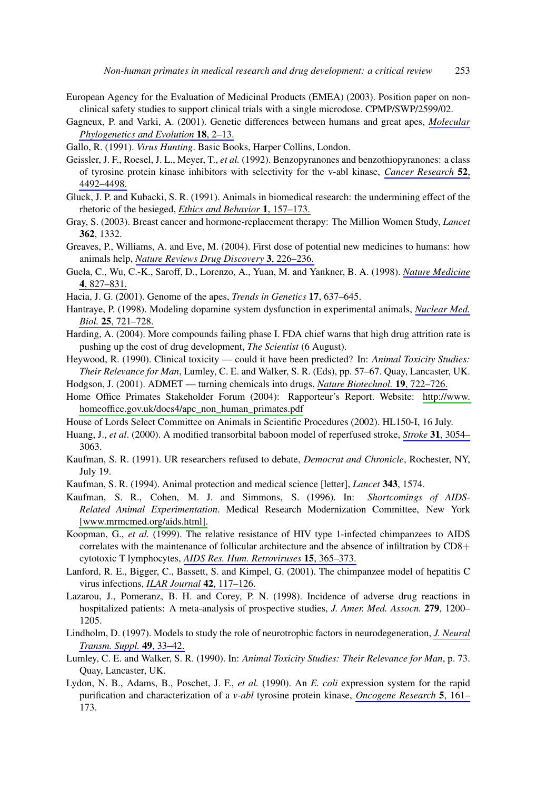- European Agency for the Evaluation of Medicinal Products (EMEA) (2003). Position paper on nonclinical safety studies to support clinical trials with a single microdose. CPMP/SWP/2599/02.
- Gagneux, P. and Varki, A. (2001). Genetic differences between humans and great apes, Molecular Phylogenetics and Evolution 18, 2-13.
- Gallo, R. (1991). Virus Hunting. Basic Books, Harper Collins, London.
- Geissler, J. F., Roesel, J. L., Meyer, T., et al. (1992). Benzopyranones and benzothiopyranones: a class of tyrosine protein kinase inhibitors with selectivity for the v-abl kinase, Cancer Research 52, 4492-4498.
- Gluck, J. P. and Kubacki, S. R. (1991). Animals in biomedical research: the undermining effect of the rhetoric of the besieged, *Ethics and Behavior* 1, 157–173.
- Gray, S. (2003). Breast cancer and hormone-replacement therapy: The Million Women Study, Lancet 362, 1332.
- Greaves, P., Williams, A. and Eve, M. (2004). First dose of potential new medicines to humans: how animals help, Nature Reviews Drug Discovery 3, 226-236.
- Guela, C., Wu, C.-K., Saroff, D., Lorenzo, A., Yuan, M. and Yankner, B. A. (1998). Nature Medicine 4, 827-831.
- Hacia, J. G. (2001). Genome of the apes, *Trends in Genetics* 17, 637–645.
- Hantraye, P. (1998). Modeling dopamine system dysfunction in experimental animals, *Nuclear Med.* Biol. 25, 721-728.
- Harding, A. (2004). More compounds failing phase I. FDA chief warns that high drug attrition rate is pushing up the cost of drug development, The Scientist (6 August).
- Heywood, R. (1990). Clinical toxicity could it have been predicted? In: Animal Toxicity Studies: Their Relevance for Man, Lumley, C. E. and Walker, S. R. (Eds), pp. 57–67. Quay, Lancaster, UK.
- Hodgson, J. (2001). ADMET turning chemicals into drugs, Nature Biotechnol. 19, 722-726.
- Home Office Primates Stakeholder Forum (2004): Rapporteur's Report. Website: http://www. homeoffice.gov.uk/docs4/apc\_non\_human\_primates.pdf
- House of Lords Select Committee on Animals in Scientific Procedures (2002). HL150-I, 16 July.
- Huang, J., et al. (2000). A modified transorbital baboon model of reperfused stroke, Stroke 31, 3054– 3063
- Kaufman, S. R. (1991). UR researchers refused to debate, Democrat and Chronicle, Rochester, NY, July 19.
- Kaufman, S. R. (1994). Animal protection and medical science [letter], Lancet 343, 1574.
- Kaufman, S. R., Cohen, M. J. and Simmons, S. (1996). In: Shortcomings of AIDS-Related Animal Experimentation. Medical Research Modernization Committee, New York [www.mrmcmed.org/aids.html].
- Koopman, G., et al. (1999). The relative resistance of HIV type 1-infected chimpanzees to AIDS correlates with the maintenance of follicular architecture and the absence of infiltration by CD8+ cytotoxic T lymphocytes, AIDS Res. Hum. Retroviruses 15, 365-373.
- Lanford, R. E., Bigger, C., Bassett, S. and Kimpel, G. (2001). The chimpanzee model of hepatitis C virus infections, ILAR Journal 42, 117-126.
- Lazarou, J., Pomeranz, B. H. and Corey, P. N. (1998). Incidence of adverse drug reactions in hospitalized patients: A meta-analysis of prospective studies, *J. Amer. Med. Assocn.* 279, 1200– 1205.
- Lindholm, D. (1997). Models to study the role of neurotrophic factors in neurodegeneration, J. Neural Transm. Suppl. 49, 33-42.
- Lumley, C. E. and Walker, S. R. (1990). In: Animal Toxicity Studies: Their Relevance for Man, p. 73. Ouay, Lancaster, UK.
- Lydon, N. B., Adams, B., Poschet, J. F., et al. (1990). An E. coli expression system for the rapid purification and characterization of a *v-abl* tyrosine protein kinase, *Oncogene Research* 5, 161– 173.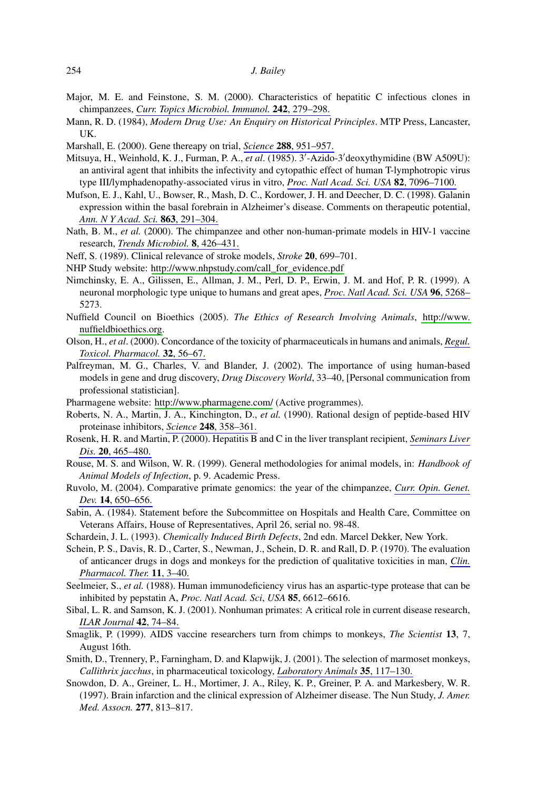- Maior, M. E. and Feinstone, S. M. (2000). Characteristics of hepatitic C infectious clones in chimpanzees, Curr. Topics Microbiol. Immunol. 242, 279-298.
- Mann, R. D. (1984), Modern Drug Use: An Enquiry on Historical Principles. MTP Press, Lancaster, UK.
- Marshall, E. (2000). Gene thereapy on trial, Science 288, 951-957.
- Mitsuya, H., Weinhold, K. J., Furman, P. A., et al. (1985). 3'-Azido-3'deoxythymidine (BW A509U): an antiviral agent that inhibits the infectivity and cytopathic effect of human T-lymphotropic virus type III/lymphadenopathy-associated virus in vitro, Proc. Natl Acad. Sci. USA 82, 7096-7100.
- Mufson, E. J., Kahl, U., Bowser, R., Mash, D. C., Kordower, J. H. and Deecher, D. C. (1998). Galanin expression within the basal forebrain in Alzheimer's disease. Comments on therapeutic potential, Ann. N Y Acad. Sci. 863, 291-304.
- Nath, B. M., et al. (2000). The chimpanzee and other non-human-primate models in HIV-1 vaccine research, Trends Microbiol. 8, 426-431.
- Neff, S. (1989). Clinical relevance of stroke models, Stroke 20, 699–701.
- NHP Study website: http://www.nhpstudy.com/call\_for\_evidence.pdf
- Nimchinsky, E. A., Gilissen, E., Allman, J. M., Perl, D. P., Erwin, J. M. and Hof, P. R. (1999). A neuronal morphologic type unique to humans and great apes, *Proc. Natl Acad. Sci. USA* 96, 5268– 5273.
- Nuffield Council on Bioethics (2005). The Ethics of Research Involving Animals, http://www. nuffieldbioethics.org.
- Olson, H., et al. (2000). Concordance of the toxicity of pharmaceuticals in humans and animals, Regul. Toxicol. Pharmacol. 32, 56-67.
- Palfreyman, M. G., Charles, V. and Blander, J. (2002). The importance of using human-based models in gene and drug discovery, Drug Discovery World, 33–40, [Personal communication from professional statistician].
- Pharmagene website: http://www.pharmagene.com/ (Active programmes).
- Roberts, N. A., Martin, J. A., Kinchington, D., et al. (1990). Rational design of peptide-based HIV proteinase inhibitors, Science 248, 358-361.
- Rosenk, H. R. and Martin, P. (2000). Hepatitis B and C in the liver transplant recipient, Seminars Liver Dis. 20, 465-480.
- Rouse, M. S. and Wilson, W. R. (1999). General methodologies for animal models, in: *Handbook of* Animal Models of Infection, p. 9. Academic Press.
- Ruvolo, M. (2004). Comparative primate genomics: the year of the chimpanzee, Curr. Opin. Genet. Dev. 14, 650-656.
- Sabin, A. (1984). Statement before the Subcommittee on Hospitals and Health Care, Committee on Veterans Affairs, House of Representatives, April 26, serial no. 98-48.
- Schardein, J. L. (1993). Chemically Induced Birth Defects, 2nd edn. Marcel Dekker, New York.
- Schein, P. S., Davis, R. D., Carter, S., Newman, J., Schein, D. R. and Rall, D. P. (1970). The evaluation of anticancer drugs in dogs and monkeys for the prediction of qualitative toxicities in man, *Clin.* Pharmacol. Ther. 11, 3-40.
- Seelmeier, S., et al. (1988). Human immunodeficiency virus has an aspartic-type protease that can be inhibited by pepstatin A, Proc. Natl Acad. Sci, USA 85, 6612–6616.
- Sibal, L. R. and Samson, K. J. (2001). Nonhuman primates: A critical role in current disease research, ILAR Journal 42, 74-84.
- Smaglik, P. (1999). AIDS vaccine researchers turn from chimps to monkeys, *The Scientist* 13, 7, August 16th.
- Smith, D., Trennery, P., Farningham, D. and Klapwijk, J. (2001). The selection of marmoset monkeys, Callithrix jacchus, in pharmaceutical toxicology, Laboratory Animals 35, 117-130.
- Snowdon, D. A., Greiner, L. H., Mortimer, J. A., Riley, K. P., Greiner, P. A. and Markesbery, W. R. (1997). Brain infarction and the clinical expression of Alzheimer disease. The Nun Study, J. Amer. Med. Assocn. 277, 813-817.